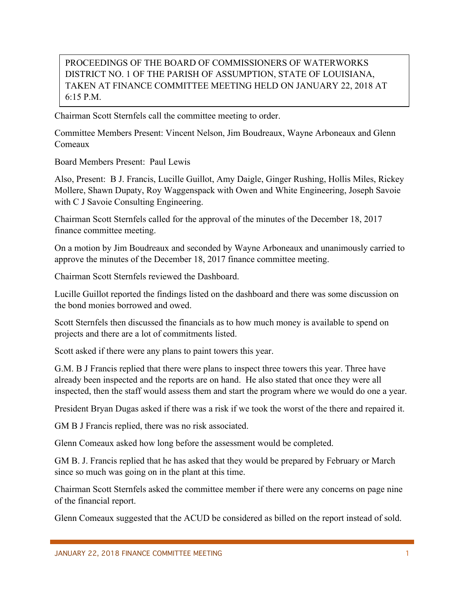## PROCEEDINGS OF THE BOARD OF COMMISSIONERS OF WATERWORKS DISTRICT NO. 1 OF THE PARISH OF ASSUMPTION, STATE OF LOUISIANA, TAKEN AT FINANCE COMMITTEE MEETING HELD ON JANUARY 22, 2018 AT 6:15 P.M.

Chairman Scott Sternfels call the committee meeting to order.

Committee Members Present: Vincent Nelson, Jim Boudreaux, Wayne Arboneaux and Glenn Comeaux

Board Members Present: Paul Lewis

Also, Present: B J. Francis, Lucille Guillot, Amy Daigle, Ginger Rushing, Hollis Miles, Rickey Mollere, Shawn Dupaty, Roy Waggenspack with Owen and White Engineering, Joseph Savoie with C J Savoie Consulting Engineering.

Chairman Scott Sternfels called for the approval of the minutes of the December 18, 2017 finance committee meeting.

On a motion by Jim Boudreaux and seconded by Wayne Arboneaux and unanimously carried to approve the minutes of the December 18, 2017 finance committee meeting.

Chairman Scott Sternfels reviewed the Dashboard.

Lucille Guillot reported the findings listed on the dashboard and there was some discussion on the bond monies borrowed and owed.

Scott Sternfels then discussed the financials as to how much money is available to spend on projects and there are a lot of commitments listed.

Scott asked if there were any plans to paint towers this year.

G.M. B J Francis replied that there were plans to inspect three towers this year. Three have already been inspected and the reports are on hand. He also stated that once they were all inspected, then the staff would assess them and start the program where we would do one a year.

President Bryan Dugas asked if there was a risk if we took the worst of the there and repaired it.

GM B J Francis replied, there was no risk associated.

Glenn Comeaux asked how long before the assessment would be completed.

GM B. J. Francis replied that he has asked that they would be prepared by February or March since so much was going on in the plant at this time.

Chairman Scott Sternfels asked the committee member if there were any concerns on page nine of the financial report.

Glenn Comeaux suggested that the ACUD be considered as billed on the report instead of sold.